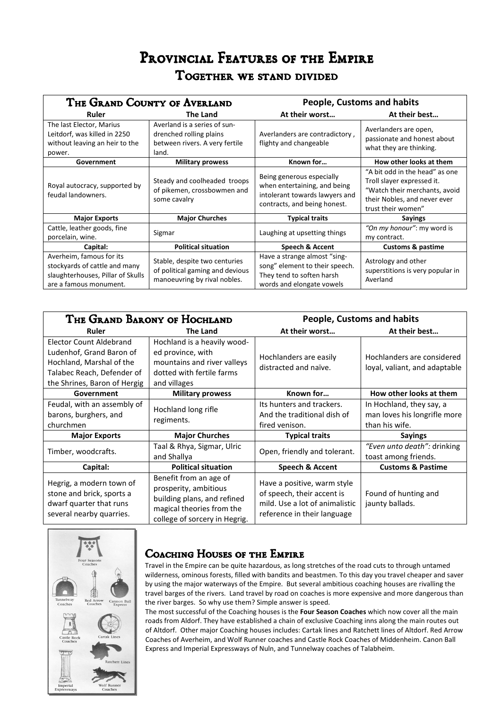# PROVINCIAL FEATURES OF THE EMPIRE *Together we stand divided*

| THE GRAND COUNTY OF AVERLAND                                                                                             |                                                                                                    | <b>People, Customs and habits</b>                                                                                           |                                                                                                                                                     |
|--------------------------------------------------------------------------------------------------------------------------|----------------------------------------------------------------------------------------------------|-----------------------------------------------------------------------------------------------------------------------------|-----------------------------------------------------------------------------------------------------------------------------------------------------|
| Ruler                                                                                                                    | <b>The Land</b>                                                                                    | At their worst                                                                                                              | At their best                                                                                                                                       |
| The last Elector, Marius<br>Leitdorf, was killed in 2250<br>without leaving an heir to the<br>power.                     | Averland is a series of sun-<br>drenched rolling plains<br>between rivers. A very fertile<br>land. | Averlanders are contradictory,<br>flighty and changeable                                                                    | Averlanders are open,<br>passionate and honest about<br>what they are thinking.                                                                     |
| Government                                                                                                               | <b>Military prowess</b>                                                                            | Known for                                                                                                                   | How other looks at them                                                                                                                             |
| Royal autocracy, supported by<br>feudal landowners.                                                                      | Steady and coolheaded troops<br>of pikemen, crossbowmen and<br>some cavalry                        | Being generous especially<br>when entertaining, and being<br>intolerant towards lawyers and<br>contracts, and being honest. | "A bit odd in the head" as one<br>Troll slayer expressed it.<br>"Watch their merchants, avoid<br>their Nobles, and never ever<br>trust their women" |
| <b>Major Exports</b>                                                                                                     | <b>Major Churches</b>                                                                              | <b>Typical traits</b>                                                                                                       | <b>Sayings</b>                                                                                                                                      |
| Cattle, leather goods, fine<br>porcelain, wine.                                                                          | Sigmar                                                                                             | Laughing at upsetting things                                                                                                | "On my honour": my word is<br>my contract.                                                                                                          |
| Capital:                                                                                                                 | <b>Political situation</b>                                                                         | <b>Speech &amp; Accent</b>                                                                                                  | <b>Customs &amp; pastime</b>                                                                                                                        |
| Averheim, famous for its<br>stockyards of cattle and many<br>slaughterhouses, Pillar of Skulls<br>are a famous monument. | Stable, despite two centuries<br>of political gaming and devious<br>manoeuvring by rival nobles.   | Have a strange almost "sing-<br>song" element to their speech.<br>They tend to soften harsh<br>words and elongate vowels    | Astrology and other<br>superstitions is very popular in<br>Averland                                                                                 |

| THE GRAND BARONY OF HOCHLAND                                                                                                                  |                                                                                                                                              | <b>People, Customs and habits</b>                                                                                          |                                                                            |
|-----------------------------------------------------------------------------------------------------------------------------------------------|----------------------------------------------------------------------------------------------------------------------------------------------|----------------------------------------------------------------------------------------------------------------------------|----------------------------------------------------------------------------|
| Ruler                                                                                                                                         | <b>The Land</b>                                                                                                                              | At their worst                                                                                                             | At their best                                                              |
| Elector Count Aldebrand<br>Ludenhof, Grand Baron of<br>Hochland, Marshal of the<br>Talabec Reach, Defender of<br>the Shrines, Baron of Hergig | Hochland is a heavily wood-<br>ed province, with<br>mountains and river valleys<br>dotted with fertile farms<br>and villages                 | Hochlanders are easily<br>distracted and naïve.                                                                            | Hochlanders are considered<br>loyal, valiant, and adaptable                |
| Government                                                                                                                                    | <b>Military prowess</b>                                                                                                                      | Known for                                                                                                                  | How other looks at them                                                    |
| Feudal, with an assembly of<br>barons, burghers, and<br>churchmen                                                                             | Hochland long rifle<br>regiments.                                                                                                            | Its hunters and trackers.<br>And the traditional dish of<br>fired venison.                                                 | In Hochland, they say, a<br>man loves his longrifle more<br>than his wife. |
| <b>Major Exports</b>                                                                                                                          | <b>Major Churches</b>                                                                                                                        | <b>Typical traits</b>                                                                                                      | <b>Sayings</b>                                                             |
| Timber, woodcrafts.                                                                                                                           | Taal & Rhya, Sigmar, Ulric<br>and Shallya                                                                                                    | Open, friendly and tolerant.                                                                                               | "Even unto death": drinking<br>toast among friends.                        |
| Capital:                                                                                                                                      | <b>Political situation</b>                                                                                                                   | <b>Speech &amp; Accent</b>                                                                                                 | <b>Customs &amp; Pastime</b>                                               |
| Hegrig, a modern town of<br>stone and brick, sports a<br>dwarf quarter that runs<br>several nearby quarries.                                  | Benefit from an age of<br>prosperity, ambitious<br>building plans, and refined<br>magical theories from the<br>college of sorcery in Hegrig. | Have a positive, warm style<br>of speech, their accent is<br>mild. Use a lot of animalistic<br>reference in their language | Found of hunting and<br>jaunty ballads.                                    |



## *Coaching Houses of the Empire Coaching*

Travel in the Empire can be quite hazardous, as long stretches of the road cuts to through untamed wilderness, ominous forests, filled with bandits and beastmen. To this day you travel cheaper and saver by using the major waterways of the Empire. But several ambitious coaching houses are rivalling the travel barges of the rivers. Land travel by road on coaches is more expensive and more dangerous than the river barges. So why use them? Simple answer is speed.

The most successful of the Coaching houses is the **Four Season Coaches** which now cover all the main roads from Aldorf. They have established a chain of exclusive Coaching inns along the main routes out of Altdorf. Other major Coaching houses includes: Cartak lines and Ratchett lines of Altdorf. Red Arrow Coaches of Averheim, and Wolf Runner coaches and Castle Rock Coaches of Middenheim. Canon Ball Express and Imperial Expressways of Nuln, and Tunnelway coaches of Talabheim.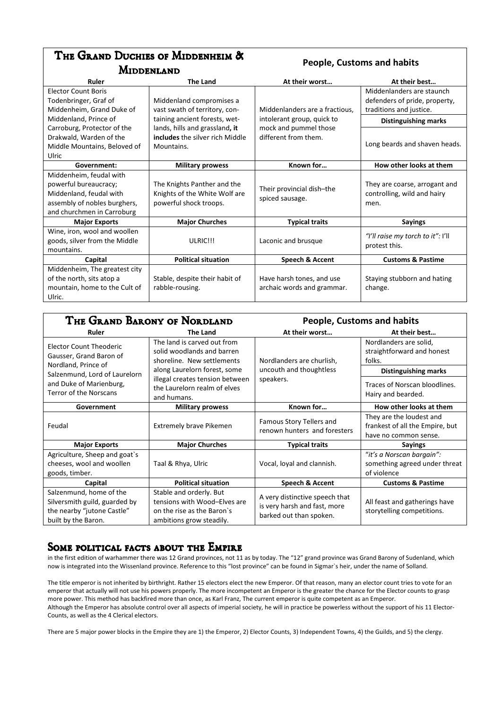### *The Grand Duchies of Middenheim & Middenland*

#### **People, Customs and habits**

| Ruler                         | <b>The Land</b>                 | At their worst                 | At their best                     |
|-------------------------------|---------------------------------|--------------------------------|-----------------------------------|
| <b>Elector Count Boris</b>    |                                 |                                | Middenlanders are staunch         |
| Todenbringer, Graf of         | Middenland compromises a        |                                | defenders of pride, property,     |
| Middenheim, Grand Duke of     | vast swath of territory, con-   | Middenlanders are a fractious, | traditions and justice.           |
| Middenland, Prince of         | taining ancient forests, wet-   | intolerant group, quick to     | <b>Distinguishing marks</b>       |
| Carroburg, Protector of the   | lands, hills and grassland, it  | mock and pummel those          |                                   |
| Drakwald, Warden of the       | includes the silver rich Middle | different from them.           |                                   |
| Middle Mountains, Beloved of  | Mountains.                      |                                | Long beards and shaven heads.     |
| Ulric                         |                                 |                                |                                   |
| Government:                   | <b>Military prowess</b>         | Known for                      | How other looks at them           |
| Middenheim, feudal with       |                                 |                                |                                   |
| powerful bureaucracy;         | The Knights Panther and the     | Their provincial dish-the      | They are coarse, arrogant and     |
| Middenland, feudal with       | Knights of the White Wolf are   |                                | controlling, wild and hairy       |
| assembly of nobles burghers,  | powerful shock troops.          | spiced sausage.                | men.                              |
| and churchmen in Carroburg    |                                 |                                |                                   |
| <b>Major Exports</b>          | <b>Major Churches</b>           | <b>Typical traits</b>          | <b>Sayings</b>                    |
| Wine, iron, wool and woollen  |                                 |                                | "I'll raise my torch to it": I'll |
| goods, silver from the Middle | ULRIC!!!                        | Laconic and brusque            |                                   |
| mountains.                    |                                 |                                | protest this.                     |
| Capital                       | <b>Political situation</b>      | Speech & Accent                | <b>Customs &amp; Pastime</b>      |
| Middenheim, The greatest city |                                 |                                |                                   |
| of the north, sits atop a     | Stable, despite their habit of  | Have harsh tones, and use      | Staying stubborn and hating       |
| mountain, home to the Cult of | rabble-rousing.                 | archaic words and grammar.     | change.                           |
| Ulric.                        |                                 |                                |                                   |

| THE GRAND BARONY OF NORDLAND                                                                                  |                                                                                                                         | <b>People, Customs and habits</b>                                                         |                                                                                               |
|---------------------------------------------------------------------------------------------------------------|-------------------------------------------------------------------------------------------------------------------------|-------------------------------------------------------------------------------------------|-----------------------------------------------------------------------------------------------|
| Ruler                                                                                                         | <b>The Land</b>                                                                                                         | At their worst                                                                            | At their best                                                                                 |
| Elector Count Theoderic<br>Gausser, Grand Baron of<br>Nordland, Prince of                                     | The land is carved out from<br>solid woodlands and barren<br>shoreline. New settlements<br>along Laurelorn forest, some | Nordlanders are churlish,<br>uncouth and thoughtless                                      | Nordlanders are solid,<br>straightforward and honest<br>folks.<br><b>Distinguishing marks</b> |
| Salzenmund, Lord of Laurelorn<br>and Duke of Marienburg,<br><b>Terror of the Norscans</b>                     | illegal creates tension between<br>the Laurelorn realm of elves<br>and humans.                                          | speakers.                                                                                 | Traces of Norscan bloodlines.<br>Hairy and bearded.                                           |
| Government                                                                                                    | <b>Military prowess</b>                                                                                                 | Known for                                                                                 | How other looks at them                                                                       |
| Feudal                                                                                                        | <b>Extremely brave Pikemen</b>                                                                                          | Famous Story Tellers and<br>renown hunters and foresters                                  | They are the loudest and<br>frankest of all the Empire, but<br>have no common sense.          |
| <b>Major Exports</b>                                                                                          | <b>Major Churches</b>                                                                                                   | <b>Typical traits</b>                                                                     | <b>Sayings</b>                                                                                |
| Agriculture, Sheep and goat's<br>cheeses, wool and woollen<br>goods, timber.                                  | Taal & Rhya, Ulric                                                                                                      | Vocal, loyal and clannish.                                                                | "it's a Norscan bargain":<br>something agreed under threat<br>of violence                     |
| Capital                                                                                                       | <b>Political situation</b>                                                                                              | Speech & Accent                                                                           | <b>Customs &amp; Pastime</b>                                                                  |
| Salzenmund, home of the<br>Silversmith guild, guarded by<br>the nearby "jutone Castle"<br>built by the Baron. | Stable and orderly. But<br>tensions with Wood-Elves are<br>on the rise as the Baron's<br>ambitions grow steadily.       | A very distinctive speech that<br>is very harsh and fast, more<br>barked out than spoken. | All feast and gatherings have<br>storytelling competitions.                                   |

### Some political facts about the Empire

in the first edition of warhammer there was 12 Grand provinces, not 11 as by today. The "12" grand province was Grand Barony of Sudenland, which now is integrated into the Wissenland province. Reference to this "lost province" can be found in Sigmar`s heir, under the name of Solland.

The title emperor is not inherited by birthright. Rather 15 electors elect the new Emperor. Of that reason, many an elector count tries to vote for an emperor that actually will not use his powers properly. The more incompetent an Emperor is the greater the chance for the Elector counts to grasp more power. This method has backfired more than once, as Karl Franz, The current emperor is quite competent as an Emperor. Although the Emperor has absolute control over all aspects of imperial society, he will in practice be powerless without the support of his 11 Elector-Counts, as well as the 4 Clerical electors.

There are 5 major power blocks in the Empire they are 1) the Emperor, 2) Elector Counts, 3) Independent Towns, 4) the Guilds, and 5) the clergy.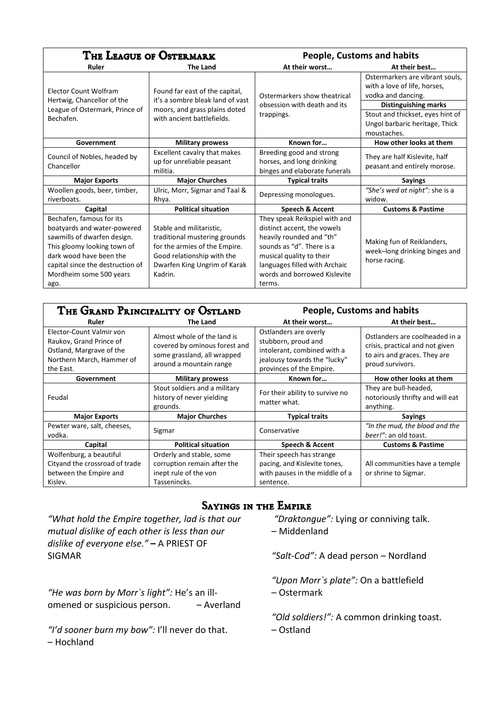| THE LEAGUE OF OSTERMARK                                                                                                                                                                                                 |                                                                                                                                                                     | <b>People, Customs and habits</b>                                                                                                                                                                                            |                                                                                       |
|-------------------------------------------------------------------------------------------------------------------------------------------------------------------------------------------------------------------------|---------------------------------------------------------------------------------------------------------------------------------------------------------------------|------------------------------------------------------------------------------------------------------------------------------------------------------------------------------------------------------------------------------|---------------------------------------------------------------------------------------|
| Ruler                                                                                                                                                                                                                   | <b>The Land</b>                                                                                                                                                     | At their worst                                                                                                                                                                                                               | At their best                                                                         |
| Elector Count Wolfram<br>Hertwig, Chancellor of the                                                                                                                                                                     | Found far east of the capital,<br>it's a sombre bleak land of vast                                                                                                  | Ostermarkers show theatrical                                                                                                                                                                                                 | Ostermarkers are vibrant souls.<br>with a love of life, horses,<br>vodka and dancing. |
| League of Ostermark, Prince of                                                                                                                                                                                          | moors, and grass plains doted                                                                                                                                       | obsession with death and its<br>trappings.                                                                                                                                                                                   | <b>Distinguishing marks</b><br>Stout and thickset, eyes hint of                       |
| Bechafen.                                                                                                                                                                                                               | with ancient battlefields.                                                                                                                                          |                                                                                                                                                                                                                              | Ungol barbaric heritage, Thick<br>moustaches.                                         |
| Government                                                                                                                                                                                                              | <b>Military prowess</b>                                                                                                                                             | Known for                                                                                                                                                                                                                    | How other looks at them                                                               |
| Council of Nobles, headed by<br>Chancellor                                                                                                                                                                              | Excellent cavalry that makes<br>up for unreliable peasant<br>militia.                                                                                               | Breeding good and strong<br>horses, and long drinking<br>binges and elaborate funerals                                                                                                                                       | They are half Kislevite, half<br>peasant and entirely morose.                         |
| <b>Major Exports</b>                                                                                                                                                                                                    | <b>Major Churches</b>                                                                                                                                               | <b>Typical traits</b>                                                                                                                                                                                                        | <b>Sayings</b>                                                                        |
| Woollen goods, beer, timber,<br>riverboats.                                                                                                                                                                             | Ulric, Morr, Sigmar and Taal &<br>Rhya.                                                                                                                             | Depressing monologues.                                                                                                                                                                                                       | "She's wed at night": she is a<br>widow.                                              |
| Capital                                                                                                                                                                                                                 | <b>Political situation</b>                                                                                                                                          | Speech & Accent                                                                                                                                                                                                              | <b>Customs &amp; Pastime</b>                                                          |
| Bechafen, famous for its<br>boatyards and water-powered<br>sawmills of dwarfen design.<br>This gloomy looking town of<br>dark wood have been the<br>capital since the destruction of<br>Mordheim some 500 years<br>ago. | Stable and militaristic.<br>traditional mustering grounds<br>for the armies of the Empire.<br>Good relationship with the<br>Dwarfen King Ungrim of Karak<br>Kadrin. | They speak Reikspiel with and<br>distinct accent, the vowels<br>heavily rounded and "th"<br>sounds as "d". There is a<br>musical quality to their<br>languages filled with Archaic<br>words and borrowed Kislevite<br>terms. | Making fun of Reiklanders,<br>week-long drinking binges and<br>horse racing.          |

| THE GRAND PRINCIPALITY OF OSTLAND                                                                                         |                                                                                                                        | <b>People, Customs and habits</b>                                                                                                       |                                                                                                                       |
|---------------------------------------------------------------------------------------------------------------------------|------------------------------------------------------------------------------------------------------------------------|-----------------------------------------------------------------------------------------------------------------------------------------|-----------------------------------------------------------------------------------------------------------------------|
| Ruler                                                                                                                     | <b>The Land</b>                                                                                                        | At their worst                                                                                                                          | At their best                                                                                                         |
| Elector-Count Valmir von<br>Raukov, Grand Prince of<br>Ostland, Margrave of the<br>Northern March, Hammer of<br>the East. | Almost whole of the land is<br>covered by ominous forest and<br>some grassland, all wrapped<br>around a mountain range | Ostlanders are overly<br>stubborn, proud and<br>intolerant, combined with a<br>jealousy towards the "lucky"<br>provinces of the Empire. | Ostlanders are coolheaded in a<br>crisis, practical and not given<br>to airs and graces. They are<br>proud survivors. |
| Government                                                                                                                | <b>Military prowess</b>                                                                                                | Known for                                                                                                                               | How other looks at them                                                                                               |
| Feudal                                                                                                                    | Stout soldiers and a military<br>history of never yielding<br>grounds.                                                 | For their ability to survive no<br>matter what.                                                                                         | They are bull-headed,<br>notoriously thrifty and will eat<br>anything.                                                |
| <b>Major Exports</b>                                                                                                      | <b>Major Churches</b>                                                                                                  | <b>Typical traits</b>                                                                                                                   | <b>Sayings</b>                                                                                                        |
| Pewter ware, salt, cheeses,<br>vodka.                                                                                     | Sigmar                                                                                                                 | Conservative                                                                                                                            | "In the mud, the blood and the<br>beer!": an old toast.                                                               |
| Capital                                                                                                                   | <b>Political situation</b>                                                                                             | <b>Speech &amp; Accent</b>                                                                                                              | <b>Customs &amp; Pastime</b>                                                                                          |
| Wolfenburg, a beautiful<br>Cityand the crossroad of trade<br>between the Empire and<br>Kislev.                            | Orderly and stable, some<br>corruption remain after the<br>inept rule of the von<br>Tassenincks.                       | Their speech has strange<br>pacing, and Kislevite tones,<br>with pauses in the middle of a<br>sentence.                                 | All communities have a temple<br>or shrine to Sigmar.                                                                 |

### **SAYINGS IN THE EMPIRE**

*"What hold the Empire together, lad is that our mutual dislike of each other is less than our dislike of everyone else."* **–** A PRIEST OF SIGMAR

*"He was born by Morr`s light":* He's an illomened or suspicious person. – Averland

*"I'd sooner burn my bow":* I'll never do that. – Hochland

- *"Draktongue":* Lying or conniving talk.
- Middenland

*"Salt-Cod":* A dead person – Nordland

*"Upon Morr`s plate":* On a battlefield – Ostermark

*"Old soldiers!":* A common drinking toast. – Ostland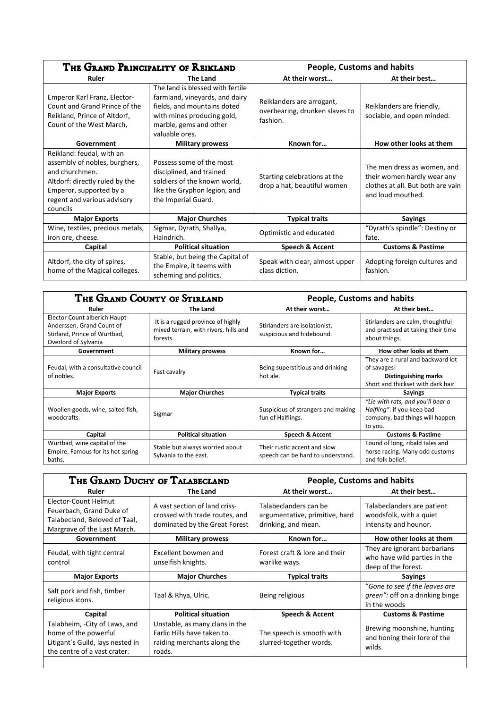| THE GRAND PRINCIPALITY OF REIKLAND                                                                                                                                                   |                                                                                                                                                                             | <b>People, Customs and habits</b>                                       |                                                                                                                      |
|--------------------------------------------------------------------------------------------------------------------------------------------------------------------------------------|-----------------------------------------------------------------------------------------------------------------------------------------------------------------------------|-------------------------------------------------------------------------|----------------------------------------------------------------------------------------------------------------------|
| Ruler                                                                                                                                                                                | The Land                                                                                                                                                                    | At their worst                                                          | At their best                                                                                                        |
| Emperor Karl Franz, Elector-<br>Count and Grand Prince of the<br>Reikland, Prince of Altdorf,<br>Count of the West March,                                                            | The land is blessed with fertile<br>farmland, vineyards, and dairy<br>fields, and mountains doted<br>with mines producing gold,<br>marble, gems and other<br>valuable ores. | Reiklanders are arrogant,<br>overbearing, drunken slaves to<br>fashion. | Reiklanders are friendly,<br>sociable, and open minded.                                                              |
| Government                                                                                                                                                                           | <b>Military prowess</b>                                                                                                                                                     | Known for                                                               | How other looks at them                                                                                              |
| Reikland: feudal, with an<br>assembly of nobles, burghers,<br>and churchmen.<br>Altdorf: directly ruled by the<br>Emperor, supported by a<br>regent and various advisory<br>councils | Possess some of the most<br>disciplined, and trained<br>soldiers of the known world,<br>like the Gryphon legion, and<br>the Imperial Guard.                                 | Starting celebrations at the<br>drop a hat, beautiful women             | The men dress as women, and<br>their women hardly wear any<br>clothes at all. But both are vain<br>and loud mouthed. |
| <b>Major Exports</b>                                                                                                                                                                 | <b>Major Churches</b>                                                                                                                                                       | <b>Typical traits</b>                                                   | <b>Sayings</b>                                                                                                       |
| Wine, textiles, precious metals,<br>iron ore, cheese.                                                                                                                                | Sigmar, Dyrath, Shallya,<br>Haindrich.                                                                                                                                      | Optimistic and educated                                                 | "Dyrath's spindle": Destiny or<br>fate.                                                                              |
| Capital                                                                                                                                                                              | <b>Political situation</b>                                                                                                                                                  | Speech & Accent                                                         | <b>Customs &amp; Pastime</b>                                                                                         |
| Altdorf, the city of spires,<br>home of the Magical colleges.                                                                                                                        | Stable, but being the Capital of<br>the Empire, it teems with<br>scheming and politics.                                                                                     | Speak with clear, almost upper<br>class diction.                        | Adopting foreign cultures and<br>fashion.                                                                            |

| THE GRAND COUNTY OF STIRLAND                                                                                       |                                                                                        | <b>People, Customs and habits</b>                                 |                                                                                                               |
|--------------------------------------------------------------------------------------------------------------------|----------------------------------------------------------------------------------------|-------------------------------------------------------------------|---------------------------------------------------------------------------------------------------------------|
| Ruler                                                                                                              | <b>The Land</b>                                                                        | At their worst                                                    | At their best                                                                                                 |
| Elector Count alberich Haupt-<br>Anderssen, Grand Count of<br>Stirland, Prince of Wurtbad,<br>Overlord of Sylvania | It is a rugged province of highly<br>mixed terrain, with rivers, hills and<br>forests. | Stirlanders are isolationist,<br>suspicious and hidebound.        | Stirlanders are calm, thoughtful<br>and practised at taking their time<br>about things.                       |
| Government                                                                                                         | <b>Military prowess</b>                                                                | Known for                                                         | How other looks at them                                                                                       |
| Feudal, with a consultative council<br>of nobles.                                                                  | Fast cavalry                                                                           | Being superstitious and drinking<br>hot ale.                      | They are a rural and backward lot<br>of savages!<br>Distinguishing marks<br>Short and thickset with dark hair |
| <b>Major Exports</b>                                                                                               | <b>Major Churches</b>                                                                  | <b>Typical traits</b>                                             | <b>Sayings</b>                                                                                                |
| Woollen goods, wine, salted fish,<br>woodcrafts.                                                                   | Sigmar                                                                                 | Suspicious of strangers and making<br>fun of Halflings.           | "Lie with rats, and you'll bear a<br>Halfling": if you keep bad<br>company, bad things will happen<br>to you. |
| Capital                                                                                                            | <b>Political situation</b>                                                             | <b>Speech &amp; Accent</b>                                        | <b>Customs &amp; Pastime</b>                                                                                  |
| Wurtbad, wine capital of the<br>Empire. Famous for its hot spring<br>baths.                                        | Stable but always worried about<br>Sylvania to the east.                               | Their rustic accent and slow<br>speech can be hard to understand. | Found of long, ribald tales and<br>horse racing. Many odd customs<br>and folk belief.                         |

| THE GRAND DUCHY OF TALABECLAND                                                                                            |                                                                                                       | <b>People, Customs and habits</b>                                              |                                                                                     |
|---------------------------------------------------------------------------------------------------------------------------|-------------------------------------------------------------------------------------------------------|--------------------------------------------------------------------------------|-------------------------------------------------------------------------------------|
| Ruler                                                                                                                     | <b>The Land</b>                                                                                       | At their worst                                                                 | At their best                                                                       |
| Elector-Count Helmut<br>Feuerbach, Grand Duke of<br>Talabecland, Beloved of Taal,<br>Margrave of the East March.          | A vast section of land criss-<br>crossed with trade routes, and<br>dominated by the Great Forest      | Talabeclanders can be<br>argumentative, primitive, hard<br>drinking, and mean. | Talabeclanders are patient<br>woodsfolk, with a quiet<br>intensity and hounor.      |
| Government                                                                                                                | <b>Military prowess</b>                                                                               | Known for                                                                      | How other looks at them                                                             |
| Feudal, with tight central<br>control                                                                                     | Excellent bowmen and<br>unselfish knights.                                                            | Forest craft & lore and their<br>warlike ways.                                 | They are ignorant barbarians<br>who have wild parties in the<br>deep of the forest. |
| <b>Major Exports</b>                                                                                                      | <b>Major Churches</b>                                                                                 | <b>Typical traits</b>                                                          | <b>Sayings</b>                                                                      |
| Salt pork and fish, timber<br>religious icons.                                                                            | Taal & Rhya, Ulric.                                                                                   | Being religious                                                                | "Gone to see if the leaves are<br>green": off on a drinking binge<br>in the woods   |
| Capital                                                                                                                   | <b>Political situation</b>                                                                            | Speech & Accent                                                                | <b>Customs &amp; Pastime</b>                                                        |
| Talabheim, -City of Laws, and<br>home of the powerful<br>Litigant's Guild, lays nested in<br>the centre of a vast crater. | Unstable, as many clans in the<br>Farlic Hills have taken to<br>raiding merchants along the<br>roads. | The speech is smooth with<br>slurred-together words.                           | Brewing moonshine, hunting<br>and honing their lore of the<br>wilds.                |
|                                                                                                                           |                                                                                                       |                                                                                |                                                                                     |